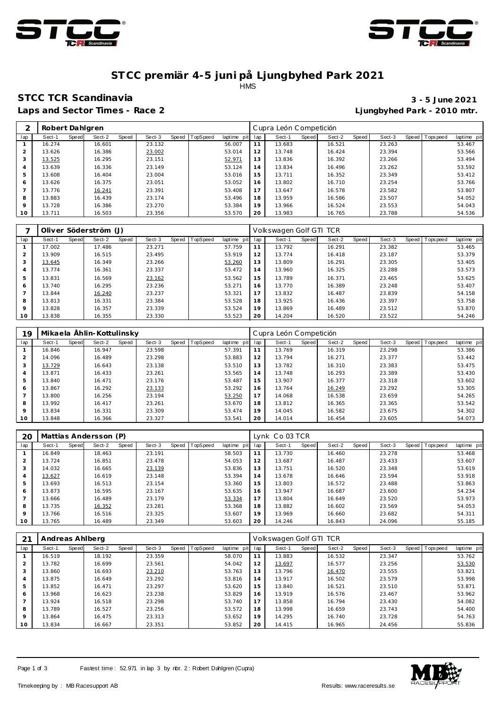



### **ST CC premiär 4-5 juni på Ljungbyhed Park 2021** HMS

# **STCC TCR Scandinavia 3 - 5 June 2021**

**Laps and Sector Times - Race 2 Ljungbyhed Park - 2010 mtr.**

|                | Robert Dahlgren |       |        |       |        |                |             |     | Cupra León Competición |       |        |       |        |                |             |
|----------------|-----------------|-------|--------|-------|--------|----------------|-------------|-----|------------------------|-------|--------|-------|--------|----------------|-------------|
| lap            | Sect-1          | Speed | Sect-2 | Speed | Sect-3 | Speed TopSpeed | laptime pit | lap | Sect-1                 | Speed | Sect-2 | Speed | Sect-3 | Speed Topspeed | laptime pit |
|                | 16.274          |       | 16.601 |       | 23.132 |                | 56.007      | 11  | 13.683                 |       | 16.521 |       | 23.263 |                | 53.467      |
| $\overline{2}$ | 13.626          |       | 16.386 |       | 23.002 |                | 53.014      | 12  | 13.748                 |       | 16.424 |       | 23.394 |                | 53.566      |
| 3              | 13.525          |       | 16.295 |       | 23.151 |                | 52.971      | 13  | 13.836                 |       | 16.392 |       | 23.266 |                | 53.494      |
| 4              | 13.639          |       | 16.336 |       | 23.149 |                | 53.124      | 14  | 13.834                 |       | 16.496 |       | 23.262 |                | 53.592      |
| 5              | 13.608          |       | 16.404 |       | 23.004 |                | 53.016      | 15  | 13.711                 |       | 16.352 |       | 23.349 |                | 53.412      |
| 6              | 13.626          |       | 16.375 |       | 23.051 |                | 53.052      | 16  | 13.802                 |       | 16.710 |       | 23.254 |                | 53.766      |
|                | 13.776          |       | 16.241 |       | 23.391 |                | 53.408      | 17  | 13.647                 |       | 16.578 |       | 23.582 |                | 53.807      |
| 8              | 13.883          |       | 16.439 |       | 23.174 |                | 53.496      | 18  | 13.959                 |       | 16.586 |       | 23.507 |                | 54.052      |
| 9              | 13.728          |       | 16.386 |       | 23.270 |                | 53.384      | 19  | 13.966                 |       | 16.524 |       | 23.553 |                | 54.043      |
| 10             | 13.711          |       | 16.503 |       | 23.356 |                | 53.570      | 20  | 13.983                 |       | 16.765 |       | 23.788 |                | 54.536      |

|                |        |       | Oliver Söderström (J) |       |        |       |          |             |     | Volkswagen Golf GTI TCR |       |        |       |        |                   |             |
|----------------|--------|-------|-----------------------|-------|--------|-------|----------|-------------|-----|-------------------------|-------|--------|-------|--------|-------------------|-------------|
| lap            | Sect-1 | Speed | Sect-2                | Speed | Sect-3 | Speed | TopSpeed | laptime pit | lap | Sect-1                  | Speed | Sect-2 | Speed | Sect-3 | Speed   Tops peed | laptime pit |
|                | 17.002 |       | 17.486                |       | 23.271 |       |          | 57.759      |     | 13.792                  |       | 16.291 |       | 23.382 |                   | 53.465      |
| $\overline{2}$ | 13.909 |       | 16.515                |       | 23.495 |       |          | 53.919      | 12  | 13.774                  |       | 16.418 |       | 23.187 |                   | 53.379      |
| 3              | 13.645 |       | 16.349                |       | 23.266 |       |          | 53.260      | 13  | 13.809                  |       | 16.291 |       | 23.305 |                   | 53.405      |
| 4              | 13.774 |       | 16.361                |       | 23.337 |       |          | 53.472      | 14  | 13.960                  |       | 16.325 |       | 23.288 |                   | 53.573      |
| 5              | 13.831 |       | 16.569                |       | 23.162 |       |          | 53.562      | 15  | 13.789                  |       | 16.371 |       | 23.465 |                   | 53.625      |
| 6              | 13.740 |       | 16.295                |       | 23.236 |       |          | 53.271      | 16  | 13.770                  |       | 16.389 |       | 23.248 |                   | 53.407      |
|                | 13.844 |       | 16.240                |       | 23.237 |       |          | 53.321      | 17  | 13.832                  |       | 16.487 |       | 23.839 |                   | 54.158      |
| 8              | 13.813 |       | 16.331                |       | 23.384 |       |          | 53.528      | 18  | 13.925                  |       | 16.436 |       | 23.397 |                   | 53.758      |
| $\circ$        | 13.828 |       | 16.357                |       | 23.339 |       |          | 53.524      | 19  | 13.869                  |       | 16.489 |       | 23.512 |                   | 53.870      |
| 10             | 13.838 |       | 16.355                |       | 23.330 |       |          | 53.523      | 20  | 14.204                  |       | 16.520 |       | 23.522 |                   | 54.246      |

| 19            |        |       | Mikaela Ählin-Kottulinsky |       |        |                |             |     | Cupra León Competición |       |        |       |        |                |             |
|---------------|--------|-------|---------------------------|-------|--------|----------------|-------------|-----|------------------------|-------|--------|-------|--------|----------------|-------------|
| lap           | Sect-1 | Speed | Sect-2                    | Speed | Sect-3 | Speed TopSpeed | laptime pit | lap | Sect-1                 | Speed | Sect-2 | Speed | Sect-3 | Speed Topspeed | laptime pit |
|               | 16.846 |       | 16.947                    |       | 23.598 |                | 57.391      |     | 13.769                 |       | 16.319 |       | 23.298 |                | 53.386      |
| $\mathcal{P}$ | 14.096 |       | 16.489                    |       | 23.298 |                | 53.883      | 12  | 13.794                 |       | 16.271 |       | 23.377 |                | 53.442      |
| 3             | 13.729 |       | 16.643                    |       | 23.138 |                | 53.510      | 13  | 13.782                 |       | 16.310 |       | 23.383 |                | 53.475      |
| 4             | 13.871 |       | 16.433                    |       | 23.261 |                | 53.565      | 14  | 13.748                 |       | 16.293 |       | 23.389 |                | 53.430      |
| 5             | 13.840 |       | 16.471                    |       | 23.176 |                | 53.487      | 15  | 13.907                 |       | 16.377 |       | 23.318 |                | 53.602      |
| 6             | 13.867 |       | 16.292                    |       | 23.133 |                | 53.292      | 16  | 13.764                 |       | 16.249 |       | 23.292 |                | 53.305      |
|               | 13.800 |       | 16.256                    |       | 23.194 |                | 53.250      | 17  | 14.068                 |       | 16.538 |       | 23.659 |                | 54.265      |
| 8             | 13.992 |       | 16.417                    |       | 23.261 |                | 53.670      | 18  | 13.812                 |       | 16.365 |       | 23.365 |                | 53.542      |
| $\circ$       | 13.834 |       | 16.331                    |       | 23.309 |                | 53.474      | 19  | 14.045                 |       | 16.582 |       | 23.675 |                | 54.302      |
| 10            | 13.848 |       | 16.366                    |       | 23.327 |                | 53.541      | 20  | 14.014                 |       | 16.454 |       | 23.605 |                | 54.073      |

| 20      | Mattias Andersson (P) |       |        |       |        |       |                 |             |     | Lynk Co 03 TCR |       |        |       |        |                   |             |
|---------|-----------------------|-------|--------|-------|--------|-------|-----------------|-------------|-----|----------------|-------|--------|-------|--------|-------------------|-------------|
| lap     | Sect-1                | Speed | Sect-2 | Speed | Sect-3 | Speed | <b>TopSpeed</b> | laptime pit | lap | Sect-1         | Speed | Sect-2 | Speed | Sect-3 | Speed   Tops peed | laptime pit |
|         | 16.849                |       | 18.463 |       | 23.191 |       |                 | 58.503      |     | 13.730         |       | 16.460 |       | 23.278 |                   | 53.468      |
| 2       | 13.724                |       | 16.851 |       | 23.478 |       |                 | 54.053      | 12  | 13.687         |       | 16.487 |       | 23.433 |                   | 53.607      |
| 3       | 14.032                |       | 16.665 |       | 23.139 |       |                 | 53.836      | 13  | 13.751         |       | 16.520 |       | 23.348 |                   | 53.619      |
| 4       | 13.627                |       | 16.619 |       | 23.148 |       |                 | 53.394      | 14  | 13.678         |       | 16.646 |       | 23.594 |                   | 53.918      |
| 5       | 13.693                |       | 16.513 |       | 23.154 |       |                 | 53.360      | 15  | 13.803         |       | 16.572 |       | 23.488 |                   | 53.863      |
| 6       | 13.873                |       | 16.595 |       | 23.167 |       |                 | 53.635      | 16  | 13.947         |       | 16.687 |       | 23.600 |                   | 54.234      |
|         | 13.666                |       | 16.489 |       | 23.179 |       |                 | 53.334      | 17  | 13.804         |       | 16.649 |       | 23.520 |                   | 53.973      |
| 8       | 13.735                |       | 16.352 |       | 23.281 |       |                 | 53.368      | 18  | 13.882         |       | 16.602 |       | 23.569 |                   | 54.053      |
| $\circ$ | 13.766                |       | 16.516 |       | 23.325 |       |                 | 53.607      | 19  | 13.969         |       | 16.660 |       | 23.682 |                   | 54.311      |
| 10      | 13.765                |       | 16.489 |       | 23.349 |       |                 | 53.603      | 20  | 14.246         |       | 16.843 |       | 24.096 |                   | 55.185      |

| 21      | Andreas Ahlberg |       |        |       |        |       |          |             |     | Volkswagen Golf GTI TCR |       |        |       |        |                |             |
|---------|-----------------|-------|--------|-------|--------|-------|----------|-------------|-----|-------------------------|-------|--------|-------|--------|----------------|-------------|
| lap     | Sect-1          | Speed | Sect-2 | Speed | Sect-3 | Speed | TopSpeed | laptime pit | lap | Sect-1                  | Speed | Sect-2 | Speed | Sect-3 | Speed Topspeed | laptime pit |
|         | 16.519          |       | 18.192 |       | 23.359 |       |          | 58.070      | 11  | 13.883                  |       | 16.532 |       | 23.347 |                | 53.762      |
|         | 13.782          |       | 16.699 |       | 23.561 |       |          | 54.042      | 12  | 13.697                  |       | 16.577 |       | 23.256 |                | 53.530      |
|         | 13.860          |       | 16.693 |       | 23.210 |       |          | 53.763      | 13  | 13.796                  |       | 16.470 |       | 23.555 |                | 53.821      |
| 4       | 13.875          |       | 16.649 |       | 23.292 |       |          | 53.816      | 14  | 13.917                  |       | 16.502 |       | 23.579 |                | 53.998      |
|         | 13.852          |       | 16.471 |       | 23.297 |       |          | 53.620      | 15  | 13.840                  |       | 16.521 |       | 23.510 |                | 53.871      |
| 6       | 13.968          |       | 16.623 |       | 23.238 |       |          | 53.829      | 16  | 13.919                  |       | 16.576 |       | 23.467 |                | 53.962      |
|         | 13.924          |       | 16.518 |       | 23.298 |       |          | 53.740      | 17  | 13.858                  |       | 16.794 |       | 23.430 |                | 54.082      |
| 8       | 13.789          |       | 16.527 |       | 23.256 |       |          | 53.572      | 18  | 13.998                  |       | 16.659 |       | 23.743 |                | 54.400      |
| $\circ$ | 13.864          |       | 16.475 |       | 23.313 |       |          | 53.652      | 19  | 14.295                  |       | 16.740 |       | 23.728 |                | 54.763      |
| 10      | 13.834          |       | 16.667 |       | 23.351 |       |          | 53.852      | 20  | 14.415                  |       | 16.965 |       | 24.456 |                | 55.836      |

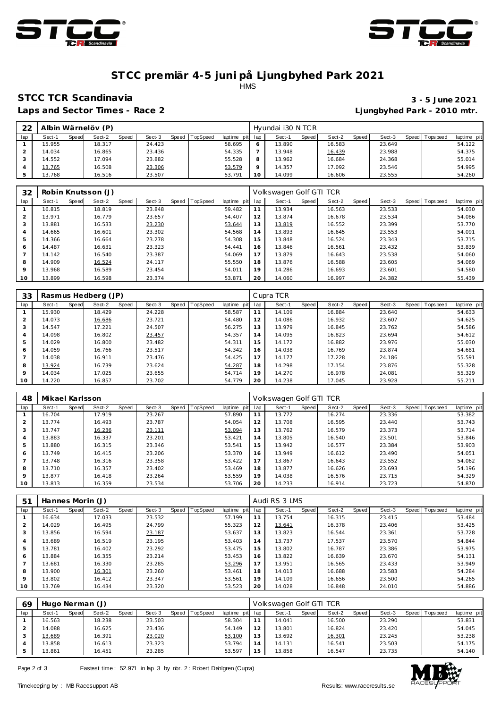



### **ST CC premiär 4-5 juni på Ljungbyhed Park 2021** HMS

## **STCC TCR Scandinavia 3 - 5 June 2021**

**Laps and Sector Times - Race 2 Ljungbyhed Park - 2010 mtr.**

| 22  |        |       | Albin Wärnelöv (P) |       |        |       |                 |             |      | Hvundai i30 N TC R |       |        |       |        |                 |             |
|-----|--------|-------|--------------------|-------|--------|-------|-----------------|-------------|------|--------------------|-------|--------|-------|--------|-----------------|-------------|
| lap | Sect-1 | Speed | Sect-2             | Speed | Sect-3 | Speed | <b>TopSpeed</b> | laptime pit | Ilap | Sect-1             | Speed | Sect-2 | Speed | Sect-3 | Speed Tops peed | laptime pit |
|     | 15.955 |       | 18.317             |       | 24.423 |       |                 | 58.695      |      | 13.890             |       | 16.583 |       | 23.649 |                 | 54.122      |
|     | 14.034 |       | 16.865             |       | 23.436 |       |                 | 54.335      |      | 13.948             |       | 16.439 |       | 23.988 |                 | 54.375      |
|     | 14.552 |       | 17.094             |       | 23.882 |       |                 | 55.528      |      | 13.962             |       | 16.684 |       | 24.368 |                 | 55.014      |
|     | 13.765 |       | 16.508             |       | 23.306 |       |                 | 53.579      |      | 14.357             |       | 17.092 |       | 23.546 |                 | 54.995      |
|     | 13.768 |       | 16.516             |       | 23.507 |       |                 | 53.79       |      | 14.099             |       | 16.606 |       | 23.555 |                 | 54.260      |

| 32      |        |       | Robin Knutsson (J) |       |        |       |                 |                |     | Volkswagen Golf GTI TCR |       |        |       |        |                |             |
|---------|--------|-------|--------------------|-------|--------|-------|-----------------|----------------|-----|-------------------------|-------|--------|-------|--------|----------------|-------------|
| lap     | Sect-1 | Speed | Sect-2             | Speed | Sect-3 | Speed | <b>TopSpeed</b> | laptime<br>pit | lap | Sect-1                  | Speed | Sect-2 | Speed | Sect-3 | Speed Topspeed | laptime pit |
|         | 16.815 |       | 18.819             |       | 23.848 |       |                 | 59.482         | 11  | 13.934                  |       | 16.563 |       | 23.533 |                | 54.030      |
|         | 13.971 |       | 16.779             |       | 23.657 |       |                 | 54.407         | 12  | 13.874                  |       | 16.678 |       | 23.534 |                | 54.086      |
|         | 13.881 |       | 16.533             |       | 23.230 |       |                 | 53.644         | 13  | 13.819                  |       | 16.552 |       | 23.399 |                | 53.770      |
|         | 14.665 |       | 16.601             |       | 23.302 |       |                 | 54.568         | 14  | 13.893                  |       | 16.645 |       | 23.553 |                | 54.091      |
|         | 14.366 |       | 16.664             |       | 23.278 |       |                 | 54.308         | 15  | 13.848                  |       | 16.524 |       | 23.343 |                | 53.715      |
| 6       | 14.487 |       | 16.631             |       | 23.323 |       |                 | 54.441         | 16  | 13.846                  |       | 16.561 |       | 23.432 |                | 53.839      |
|         | 14.142 |       | 16.540             |       | 23.387 |       |                 | 54.069         | 17  | 13.879                  |       | 16.643 |       | 23.538 |                | 54.060      |
| 8       | 14.909 |       | 16.524             |       | 24.117 |       |                 | 55.550         | 18  | 13.876                  |       | 16.588 |       | 23.605 |                | 54.069      |
| $\circ$ | 13.968 |       | 16.589             |       | 23.454 |       |                 | 54.011         | 19  | 14.286                  |       | 16.693 |       | 23.601 |                | 54.580      |
| 10      | 13.899 |       | 16.598             |       | 23.374 |       |                 | 53.871         | 20  | 14.060                  |       | 16.997 |       | 24.382 |                | 55.439      |

| 33      |        |       | Rasmus Hedberg (JP) |       |        |         |                 |             |     | Cupra TCR |       |        |       |        |                  |             |
|---------|--------|-------|---------------------|-------|--------|---------|-----------------|-------------|-----|-----------|-------|--------|-------|--------|------------------|-------------|
| lap     | Sect-1 | Speed | Sect-2              | Speed | Sect-3 | Speed T | <b>TopSpeed</b> | laptime pit | lap | Sect-1    | Speed | Sect-2 | Speed | Sect-3 | Speed   Topspeed | laptime pit |
|         | 15.930 |       | 18.429              |       | 24.228 |         |                 | 58.587      |     | 14.109    |       | 16.884 |       | 23.640 |                  | 54.633      |
|         | 14.073 |       | 16.686              |       | 23.721 |         |                 | 54.480      | 12  | 14.086    |       | 16.932 |       | 23.607 |                  | 54.625      |
|         | 14.547 |       | 17.221              |       | 24.507 |         |                 | 56.275      | 13  | 13.979    |       | 16.845 |       | 23.762 |                  | 54.586      |
| 4       | 14.098 |       | 16.802              |       | 23.457 |         |                 | 54.357      | 14  | 14.095    |       | 16.823 |       | 23.694 |                  | 54.612      |
|         | 14.029 |       | 16.800              |       | 23.482 |         |                 | 54.311      | 15  | 14.172    |       | 16.882 |       | 23.976 |                  | 55.030      |
| 6       | 14.059 |       | 16.766              |       | 23.517 |         |                 | 54.342      | 16  | 14.038    |       | 16.769 |       | 23.874 |                  | 54.681      |
|         | 14.038 |       | 16.911              |       | 23.476 |         |                 | 54.425      | 17  | 14.177    |       | 17.228 |       | 24.186 |                  | 55.591      |
| 8       | 13.924 |       | 16.739              |       | 23.624 |         |                 | 54.287      | 18  | 14.298    |       | 17.154 |       | 23.876 |                  | 55.328      |
| $\circ$ | 14.034 |       | 17.025              |       | 23.655 |         |                 | 54.714      | 19  | 14.270    |       | 16.978 |       | 24.081 |                  | 55.329      |
| 10      | 14.220 |       | 16.857              |       | 23.702 |         |                 | 54.779      | 20  | 14.238    |       | 17.045 |       | 23.928 |                  | 55.211      |

| 48             | Mikael Karlsson |       |        |       |        |       |                 |             |     | Volkswagen Golf GTI TCR |       |        |       |        |       |          |             |
|----------------|-----------------|-------|--------|-------|--------|-------|-----------------|-------------|-----|-------------------------|-------|--------|-------|--------|-------|----------|-------------|
| lap            | Sect-1          | Speed | Sect-2 | Speed | Sect-3 | Speed | <b>TopSpeed</b> | laptime pit | lap | Sect-1                  | Speed | Sect-2 | Speed | Sect-3 | Speed | Topspeed | laptime pit |
|                | 16.704          |       | 17.919 |       | 23.267 |       |                 | 57.890      |     | 13.772                  |       | 16.274 |       | 23.336 |       |          | 53.382      |
| $\overline{2}$ | 13.774          |       | 16.493 |       | 23.787 |       |                 | 54.054      | 12  | 13.708                  |       | 16.595 |       | 23.440 |       |          | 53.743      |
| 3              | 13.747          |       | 16.236 |       | 23.111 |       |                 | 53.094      | 13  | 13.762                  |       | 16.579 |       | 23.373 |       |          | 53.714      |
| 4              | 13.883          |       | 16.337 |       | 23.201 |       |                 | 53.421      | 14  | 13.805                  |       | 16.540 |       | 23.501 |       |          | 53.846      |
| 5              | 13.880          |       | 16.315 |       | 23.346 |       |                 | 53.541      | 15  | 13.942                  |       | 16.577 |       | 23.384 |       |          | 53.903      |
| 6              | 13.749          |       | 16.415 |       | 23.206 |       |                 | 53.370      | 16  | 13.949                  |       | 16.612 |       | 23.490 |       |          | 54.051      |
|                | 13.748          |       | 16.316 |       | 23.358 |       |                 | 53.422      | 17  | 13.867                  |       | 16.643 |       | 23.552 |       |          | 54.062      |
| 8              | 13.710          |       | 16.357 |       | 23.402 |       |                 | 53.469      | 18  | 13.877                  |       | 16.626 |       | 23.693 |       |          | 54.196      |
| $\circ$        | 13.877          |       | 16.418 |       | 23.264 |       |                 | 53.559      | 19  | 14.038                  |       | 16.576 |       | 23.715 |       |          | 54.329      |
| 10             | 13.813          |       | 16.359 |       | 23.534 |       |                 | 53.706      | 20  | 14.233                  |       | 16.914 |       | 23.723 |       |          | 54.870      |

| 51      | Hannes Morin (J) |       |        |       |        |       |          |             |     | Audi RS 3 LMS |       |        |       |        |         |           |             |
|---------|------------------|-------|--------|-------|--------|-------|----------|-------------|-----|---------------|-------|--------|-------|--------|---------|-----------|-------------|
| lap     | Sect-1           | Speed | Sect-2 | Speed | Sect-3 | Speed | TopSpeed | laptime pit | lap | Sect-1        | Speed | Sect-2 | Speed | Sect-3 | Speed I | Tops peed | laptime pit |
|         | 16.634           |       | 17.033 |       | 23.532 |       |          | 57.199      |     | 13.754        |       | 16.315 |       | 23.415 |         |           | 53.484      |
|         | 14.029           |       | 16.495 |       | 24.799 |       |          | 55.323      | 12  | 13.641        |       | 16.378 |       | 23.406 |         |           | 53.425      |
| 3       | 13.856           |       | 16.594 |       | 23.187 |       |          | 53.637      | 13  | 13.823        |       | 16.544 |       | 23.361 |         |           | 53.728      |
|         | 13.689           |       | 16.519 |       | 23.195 |       |          | 53.403      | 14  | 13.737        |       | 17.537 |       | 23.570 |         |           | 54.844      |
| 5       | 13.781           |       | 16.402 |       | 23.292 |       |          | 53.475      | 15  | 13.802        |       | 16.787 |       | 23.386 |         |           | 53.975      |
| 6       | 13.884           |       | 16.355 |       | 23.214 |       |          | 53.453      | 16  | 13.822        |       | 16.639 |       | 23.670 |         |           | 54.131      |
|         | 13.681           |       | 16.330 |       | 23.285 |       |          | 53.296      | 17  | 13.951        |       | 16.565 |       | 23.433 |         |           | 53.949      |
| 8       | 13.900           |       | 16.301 |       | 23.260 |       |          | 53.461      | 18  | 14.013        |       | 16.688 |       | 23.583 |         |           | 54.284      |
| $\circ$ | 13.802           |       | 16.412 |       | 23.347 |       |          | 53.561      | 19  | 14.109        |       | 16.656 |       | 23.500 |         |           | 54.265      |
| 10      | 13.769           |       | 16.434 |       | 23.320 |       |          | 53.523      | 20  | 14.028        |       | 16.848 |       | 24.010 |         |           | 54.886      |

| 69  | Hugo Nerman (J) |       |        |       |        |                |             |     | Volkswagen Golf GTI TCR |       |        |       |        |                |             |
|-----|-----------------|-------|--------|-------|--------|----------------|-------------|-----|-------------------------|-------|--------|-------|--------|----------------|-------------|
| lap | Sect-1          | Speed | Sect-2 | Speed | Sect-3 | Speed TopSpeed | laptime pit | lap | Sect-1                  | Speed | Sect-2 | Speed | Sect-3 | Speed Topspeed | laptime pit |
|     | 16.563          |       | 18.238 |       | 23.503 |                | 58.304      |     | 14.041                  |       | 16.500 |       | 23.290 |                | 53.831      |
|     | 14.088          |       | 16.625 |       | 23.436 |                | 54.149      | 12  | 13.801                  |       | 16.824 |       | 23.420 |                | 54.045      |
|     | 13.689          |       | 16.391 |       | 23.020 |                | 53.100      | 13  | 13.692                  |       | 16.301 |       | 23.245 |                | 53.238      |
|     | 13.858          |       | 16.613 |       | 23.323 |                | 53.794      | 14  | 14.131                  |       | 16.541 |       | 23.503 |                | 54.175      |
|     | 13.861          |       | 16.451 |       | 23.285 |                | 53.597      | 15  | 13.858                  |       | 16.547 |       | 23.735 |                | 54.140      |